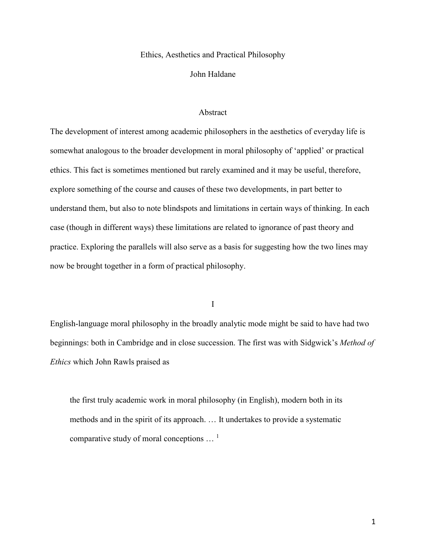## Ethics, Aesthetics and Practical Philosophy

## John Haldane

## Abstract

The development of interest among academic philosophers in the aesthetics of everyday life is somewhat analogous to the broader development in moral philosophy of 'applied' or practical ethics. This fact is sometimes mentioned but rarely examined and it may be useful, therefore, explore something of the course and causes of these two developments, in part better to understand them, but also to note blindspots and limitations in certain ways of thinking. In each case (though in different ways) these limitations are related to ignorance of past theory and practice. Exploring the parallels will also serve as a basis for suggesting how the two lines may now be brought together in a form of practical philosophy.

I

English-language moral philosophy in the broadly analytic mode might be said to have had two beginnings: both in Cambridge and in close succession. The first was with Sidgwick's *Method of Ethics* which John Rawls praised as

the first truly academic work in moral philosophy (in English), modern both in its methods and in the spirit of its approach. … It undertakes to provide a systematic comparative study of moral conceptions  $\ldots$ <sup>1</sup>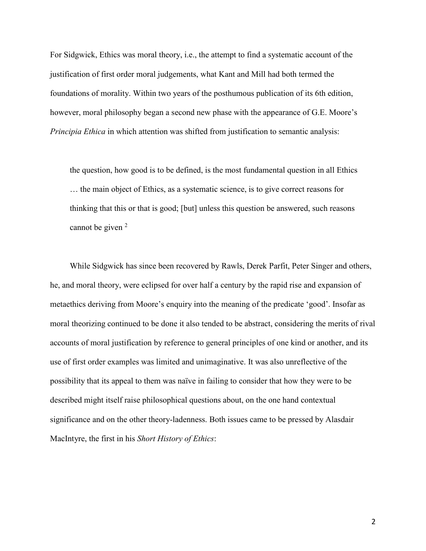For Sidgwick, Ethics was moral theory, i.e., the attempt to find a systematic account of the justification of first order moral judgements, what Kant and Mill had both termed the foundations of morality. Within two years of the posthumous publication of its 6th edition, however, moral philosophy began a second new phase with the appearance of G.E. Moore's *Principia Ethica* in which attention was shifted from justification to semantic analysis:

the question, how good is to be defined, is the most fundamental question in all Ethics … the main object of Ethics, as a systematic science, is to give correct reasons for thinking that this or that is good; [but] unless this question be answered, such reasons cannot be given <sup>2</sup>

While Sidgwick has since been recovered by Rawls, Derek Parfit, Peter Singer and others, he, and moral theory, were eclipsed for over half a century by the rapid rise and expansion of metaethics deriving from Moore's enquiry into the meaning of the predicate 'good'. Insofar as moral theorizing continued to be done it also tended to be abstract, considering the merits of rival accounts of moral justification by reference to general principles of one kind or another, and its use of first order examples was limited and unimaginative. It was also unreflective of the possibility that its appeal to them was naïve in failing to consider that how they were to be described might itself raise philosophical questions about, on the one hand contextual significance and on the other theory-ladenness. Both issues came to be pressed by Alasdair MacIntyre, the first in his *Short History of Ethics*: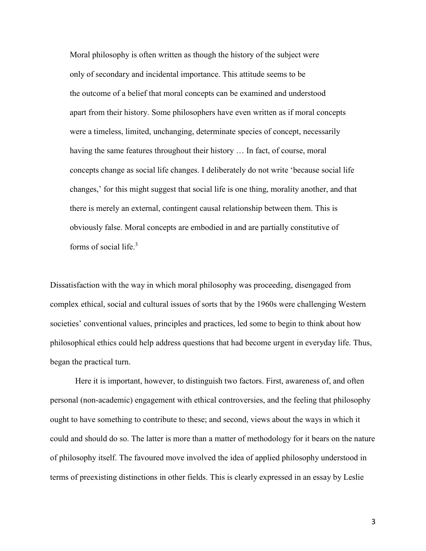Moral philosophy is often written as though the history of the subject were only of secondary and incidental importance. This attitude seems to be the outcome of a belief that moral concepts can be examined and understood apart from their history. Some philosophers have even written as if moral concepts were a timeless, limited, unchanging, determinate species of concept, necessarily having the same features throughout their history ... In fact, of course, moral concepts change as social life changes. I deliberately do not write 'because social life changes,' for this might suggest that social life is one thing, morality another, and that there is merely an external, contingent causal relationship between them. This is obviously false. Moral concepts are embodied in and are partially constitutive of forms of social life.<sup>3</sup>

Dissatisfaction with the way in which moral philosophy was proceeding, disengaged from complex ethical, social and cultural issues of sorts that by the 1960s were challenging Western societies' conventional values, principles and practices, led some to begin to think about how philosophical ethics could help address questions that had become urgent in everyday life. Thus, began the practical turn.

Here it is important, however, to distinguish two factors. First, awareness of, and often personal (non-academic) engagement with ethical controversies, and the feeling that philosophy ought to have something to contribute to these; and second, views about the ways in which it could and should do so. The latter is more than a matter of methodology for it bears on the nature of philosophy itself. The favoured move involved the idea of applied philosophy understood in terms of preexisting distinctions in other fields. This is clearly expressed in an essay by Leslie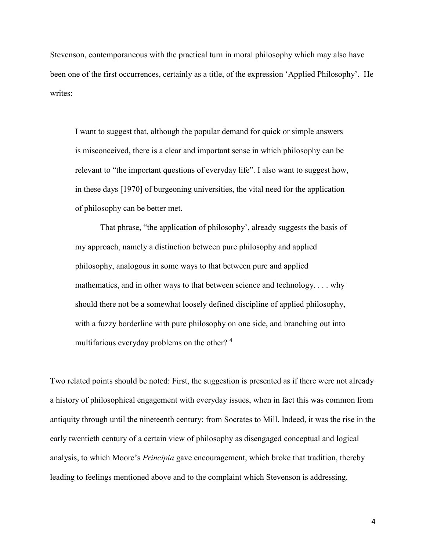Stevenson, contemporaneous with the practical turn in moral philosophy which may also have been one of the first occurrences, certainly as a title, of the expression 'Applied Philosophy'. He writes:

I want to suggest that, although the popular demand for quick or simple answers is misconceived, there is a clear and important sense in which philosophy can be relevant to "the important questions of everyday life". I also want to suggest how, in these days [1970] of burgeoning universities, the vital need for the application of philosophy can be better met.

That phrase, "the application of philosophy', already suggests the basis of my approach, namely a distinction between pure philosophy and applied philosophy, analogous in some ways to that between pure and applied mathematics, and in other ways to that between science and technology. . . . why should there not be a somewhat loosely defined discipline of applied philosophy, with a fuzzy borderline with pure philosophy on one side, and branching out into multifarious everyday problems on the other?<sup>4</sup>

Two related points should be noted: First, the suggestion is presented as if there were not already a history of philosophical engagement with everyday issues, when in fact this was common from antiquity through until the nineteenth century: from Socrates to Mill. Indeed, it was the rise in the early twentieth century of a certain view of philosophy as disengaged conceptual and logical analysis, to which Moore's *Principia* gave encouragement, which broke that tradition, thereby leading to feelings mentioned above and to the complaint which Stevenson is addressing.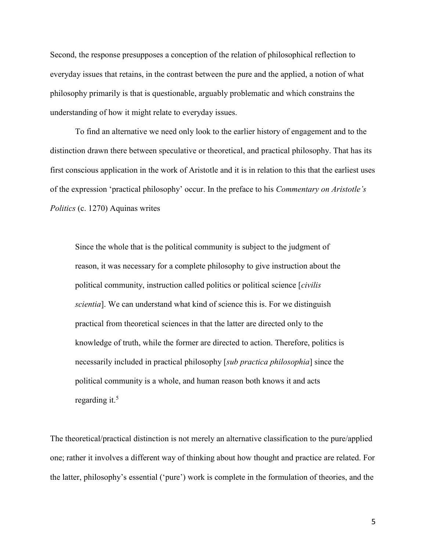Second, the response presupposes a conception of the relation of philosophical reflection to everyday issues that retains, in the contrast between the pure and the applied, a notion of what philosophy primarily is that is questionable, arguably problematic and which constrains the understanding of how it might relate to everyday issues.

To find an alternative we need only look to the earlier history of engagement and to the distinction drawn there between speculative or theoretical, and practical philosophy. That has its first conscious application in the work of Aristotle and it is in relation to this that the earliest uses of the expression 'practical philosophy' occur. In the preface to his *Commentary on Aristotle's Politics* (c. 1270) Aquinas writes

Since the whole that is the political community is subject to the judgment of reason, it was necessary for a complete philosophy to give instruction about the political community, instruction called politics or political science [*civilis scientia*]. We can understand what kind of science this is. For we distinguish practical from theoretical sciences in that the latter are directed only to the knowledge of truth, while the former are directed to action. Therefore, politics is necessarily included in practical philosophy [*sub practica philosophia*] since the political community is a whole, and human reason both knows it and acts regarding it. $5$ 

The theoretical/practical distinction is not merely an alternative classification to the pure/applied one; rather it involves a different way of thinking about how thought and practice are related. For the latter, philosophy's essential ('pure') work is complete in the formulation of theories, and the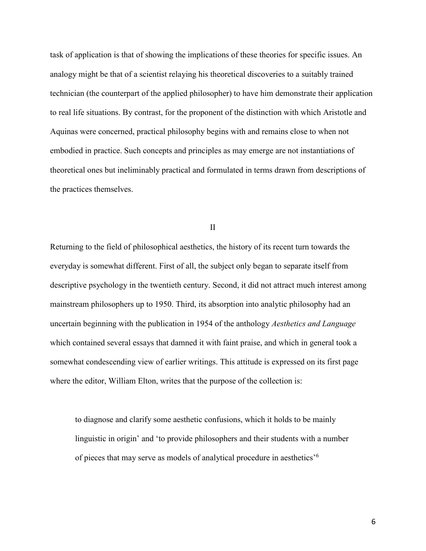task of application is that of showing the implications of these theories for specific issues. An analogy might be that of a scientist relaying his theoretical discoveries to a suitably trained technician (the counterpart of the applied philosopher) to have him demonstrate their application to real life situations. By contrast, for the proponent of the distinction with which Aristotle and Aquinas were concerned, practical philosophy begins with and remains close to when not embodied in practice. Such concepts and principles as may emerge are not instantiations of theoretical ones but ineliminably practical and formulated in terms drawn from descriptions of the practices themselves.

II

Returning to the field of philosophical aesthetics, the history of its recent turn towards the everyday is somewhat different. First of all, the subject only began to separate itself from descriptive psychology in the twentieth century. Second, it did not attract much interest among mainstream philosophers up to 1950. Third, its absorption into analytic philosophy had an uncertain beginning with the publication in 1954 of the anthology *Aesthetics and Language* which contained several essays that damned it with faint praise, and which in general took a somewhat condescending view of earlier writings. This attitude is expressed on its first page where the editor, William Elton, writes that the purpose of the collection is:

to diagnose and clarify some aesthetic confusions, which it holds to be mainly linguistic in origin' and 'to provide philosophers and their students with a number of pieces that may serve as models of analytical procedure in aesthetics'<sup>6</sup>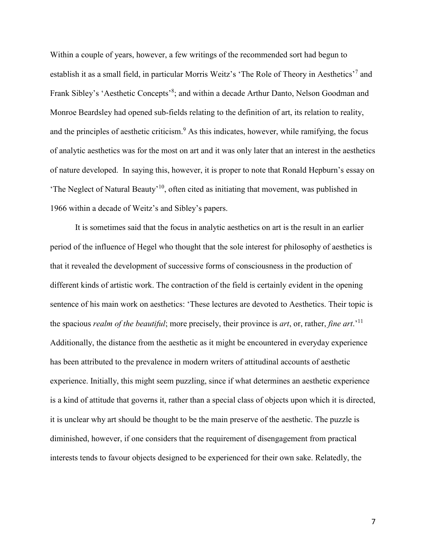Within a couple of years, however, a few writings of the recommended sort had begun to establish it as a small field, in particular Morris Weitz's 'The Role of Theory in Aesthetics'<sup>7</sup> and Frank Sibley's 'Aesthetic Concepts'<sup>8</sup>; and within a decade Arthur Danto, Nelson Goodman and Monroe Beardsley had opened sub-fields relating to the definition of art, its relation to reality, and the principles of aesthetic criticism.<sup>9</sup> As this indicates, however, while ramifying, the focus of analytic aesthetics was for the most on art and it was only later that an interest in the aesthetics of nature developed. In saying this, however, it is proper to note that Ronald Hepburn's essay on 'The Neglect of Natural Beauty'<sup>10</sup>, often cited as initiating that movement, was published in 1966 within a decade of Weitz's and Sibley's papers.

It is sometimes said that the focus in analytic aesthetics on art is the result in an earlier period of the influence of Hegel who thought that the sole interest for philosophy of aesthetics is that it revealed the development of successive forms of consciousness in the production of different kinds of artistic work. The contraction of the field is certainly evident in the opening sentence of his main work on aesthetics: 'These lectures are devoted to Aesthetics. Their topic is the spacious *realm of the beautiful*; more precisely, their province is *art*, or, rather, *fine art*.'<sup>11</sup> Additionally, the distance from the aesthetic as it might be encountered in everyday experience has been attributed to the prevalence in modern writers of attitudinal accounts of aesthetic experience. Initially, this might seem puzzling, since if what determines an aesthetic experience is a kind of attitude that governs it, rather than a special class of objects upon which it is directed, it is unclear why art should be thought to be the main preserve of the aesthetic. The puzzle is diminished, however, if one considers that the requirement of disengagement from practical interests tends to favour objects designed to be experienced for their own sake. Relatedly, the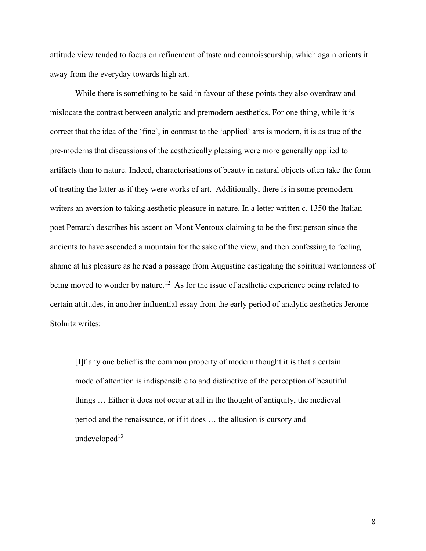attitude view tended to focus on refinement of taste and connoisseurship, which again orients it away from the everyday towards high art.

While there is something to be said in favour of these points they also overdraw and mislocate the contrast between analytic and premodern aesthetics. For one thing, while it is correct that the idea of the 'fine', in contrast to the 'applied' arts is modern, it is as true of the pre-moderns that discussions of the aesthetically pleasing were more generally applied to artifacts than to nature. Indeed, characterisations of beauty in natural objects often take the form of treating the latter as if they were works of art. Additionally, there is in some premodern writers an aversion to taking aesthetic pleasure in nature. In a letter written c. 1350 the Italian poet Petrarch describes his ascent on Mont Ventoux claiming to be the first person since the ancients to have ascended a mountain for the sake of the view, and then confessing to feeling shame at his pleasure as he read a passage from Augustine castigating the spiritual wantonness of being moved to wonder by nature.<sup>12</sup> As for the issue of aesthetic experience being related to certain attitudes, in another influential essay from the early period of analytic aesthetics Jerome Stolnitz writes:

[I]f any one belief is the common property of modern thought it is that a certain mode of attention is indispensible to and distinctive of the perception of beautiful things … Either it does not occur at all in the thought of antiquity, the medieval period and the renaissance, or if it does … the allusion is cursory and undeveloped $13$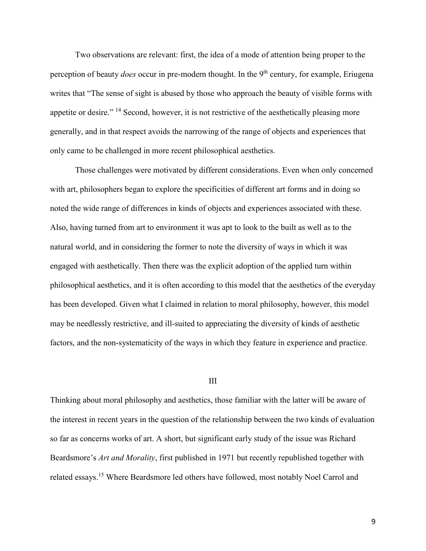Two observations are relevant: first, the idea of a mode of attention being proper to the perception of beauty *does* occur in pre-modern thought. In the 9th century, for example, Eriugena writes that "The sense of sight is abused by those who approach the beauty of visible forms with appetite or desire." <sup>14</sup> Second, however, it is not restrictive of the aesthetically pleasing more generally, and in that respect avoids the narrowing of the range of objects and experiences that only came to be challenged in more recent philosophical aesthetics.

Those challenges were motivated by different considerations. Even when only concerned with art, philosophers began to explore the specificities of different art forms and in doing so noted the wide range of differences in kinds of objects and experiences associated with these. Also, having turned from art to environment it was apt to look to the built as well as to the natural world, and in considering the former to note the diversity of ways in which it was engaged with aesthetically. Then there was the explicit adoption of the applied turn within philosophical aesthetics, and it is often according to this model that the aesthetics of the everyday has been developed. Given what I claimed in relation to moral philosophy, however, this model may be needlessly restrictive, and ill-suited to appreciating the diversity of kinds of aesthetic factors, and the non-systematicity of the ways in which they feature in experience and practice.

## III

Thinking about moral philosophy and aesthetics, those familiar with the latter will be aware of the interest in recent years in the question of the relationship between the two kinds of evaluation so far as concerns works of art. A short, but significant early study of the issue was Richard Beardsmore's *Art and Morality*, first published in 1971 but recently republished together with related essays.<sup>15</sup> Where Beardsmore led others have followed, most notably Noel Carrol and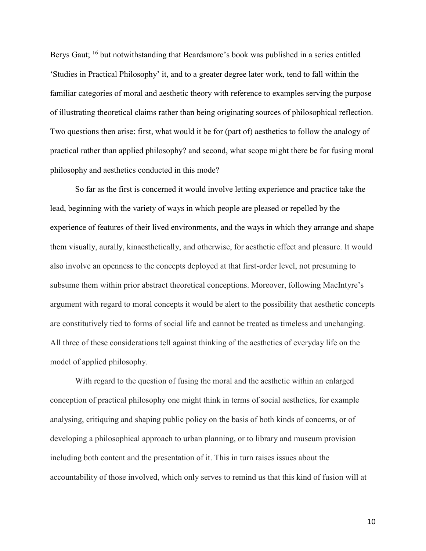Berys Gaut; <sup>16</sup> but notwithstanding that Beardsmore's book was published in a series entitled 'Studies in Practical Philosophy' it, and to a greater degree later work, tend to fall within the familiar categories of moral and aesthetic theory with reference to examples serving the purpose of illustrating theoretical claims rather than being originating sources of philosophical reflection. Two questions then arise: first, what would it be for (part of) aesthetics to follow the analogy of practical rather than applied philosophy? and second, what scope might there be for fusing moral philosophy and aesthetics conducted in this mode?

So far as the first is concerned it would involve letting experience and practice take the lead, beginning with the variety of ways in which people are pleased or repelled by the experience of features of their lived environments, and the ways in which they arrange and shape them visually, aurally, kinaesthetically, and otherwise, for aesthetic effect and pleasure. It would also involve an openness to the concepts deployed at that first-order level, not presuming to subsume them within prior abstract theoretical conceptions. Moreover, following MacIntyre's argument with regard to moral concepts it would be alert to the possibility that aesthetic concepts are constitutively tied to forms of social life and cannot be treated as timeless and unchanging. All three of these considerations tell against thinking of the aesthetics of everyday life on the model of applied philosophy.

With regard to the question of fusing the moral and the aesthetic within an enlarged conception of practical philosophy one might think in terms of social aesthetics, for example analysing, critiquing and shaping public policy on the basis of both kinds of concerns, or of developing a philosophical approach to urban planning, or to library and museum provision including both content and the presentation of it. This in turn raises issues about the accountability of those involved, which only serves to remind us that this kind of fusion will at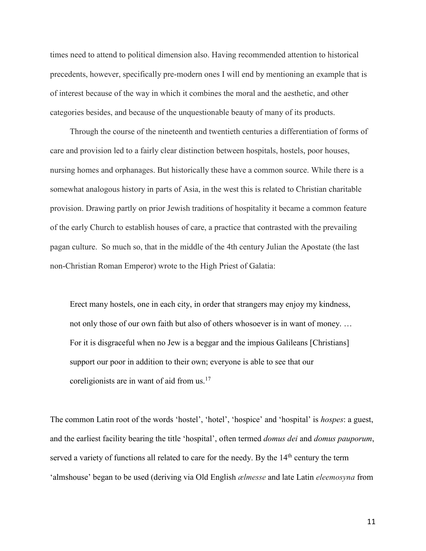times need to attend to political dimension also. Having recommended attention to historical precedents, however, specifically pre-modern ones I will end by mentioning an example that is of interest because of the way in which it combines the moral and the aesthetic, and other categories besides, and because of the unquestionable beauty of many of its products.

Through the course of the nineteenth and twentieth centuries a differentiation of forms of care and provision led to a fairly clear distinction between hospitals, hostels, poor houses, nursing homes and orphanages. But historically these have a common source. While there is a somewhat analogous history in parts of Asia, in the west this is related to Christian charitable provision. Drawing partly on prior Jewish traditions of hospitality it became a common feature of the early Church to establish houses of care, a practice that contrasted with the prevailing pagan culture. So much so, that in the middle of the 4th century Julian the Apostate (the last non-Christian Roman Emperor) wrote to the High Priest of Galatia:

Erect many hostels, one in each city, in order that strangers may enjoy my kindness, not only those of our own faith but also of others whosoever is in want of money. … For it is disgraceful when no Jew is a beggar and the impious Galileans [Christians] support our poor in addition to their own; everyone is able to see that our coreligionists are in want of aid from  $us$ .<sup>17</sup>

The common Latin root of the words 'hostel', 'hotel', 'hospice' and 'hospital' is *hospes*: a guest, and the earliest facility bearing the title 'hospital', often termed *domus dei* and *domus pauporum*, served a variety of functions all related to care for the needy. By the 14<sup>th</sup> century the term 'almshouse' began to be used (deriving via Old English *ælmesse* and late Latin *eleemosyna* from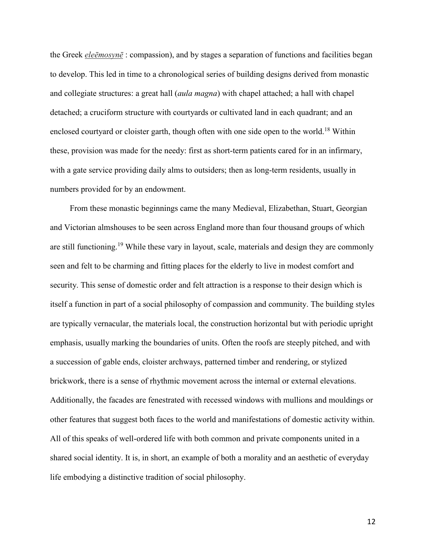the Greek *eleēmosynē* : compassion), and by stages a separation of functions and facilities began to develop. This led in time to a chronological series of building designs derived from monastic and collegiate structures: a great hall (*aula magna*) with chapel attached; a hall with chapel detached; a cruciform structure with courtyards or cultivated land in each quadrant; and an enclosed courtyard or cloister garth, though often with one side open to the world.<sup>18</sup> Within these, provision was made for the needy: first as short-term patients cared for in an infirmary, with a gate service providing daily alms to outsiders; then as long-term residents, usually in numbers provided for by an endowment.

From these monastic beginnings came the many Medieval, Elizabethan, Stuart, Georgian and Victorian almshouses to be seen across England more than four thousand groups of which are still functioning.<sup>19</sup> While these vary in layout, scale, materials and design they are commonly seen and felt to be charming and fitting places for the elderly to live in modest comfort and security. This sense of domestic order and felt attraction is a response to their design which is itself a function in part of a social philosophy of compassion and community. The building styles are typically vernacular, the materials local, the construction horizontal but with periodic upright emphasis, usually marking the boundaries of units. Often the roofs are steeply pitched, and with a succession of gable ends, cloister archways, patterned timber and rendering, or stylized brickwork, there is a sense of rhythmic movement across the internal or external elevations. Additionally, the facades are fenestrated with recessed windows with mullions and mouldings or other features that suggest both faces to the world and manifestations of domestic activity within. All of this speaks of well-ordered life with both common and private components united in a shared social identity. It is, in short, an example of both a morality and an aesthetic of everyday life embodying a distinctive tradition of social philosophy.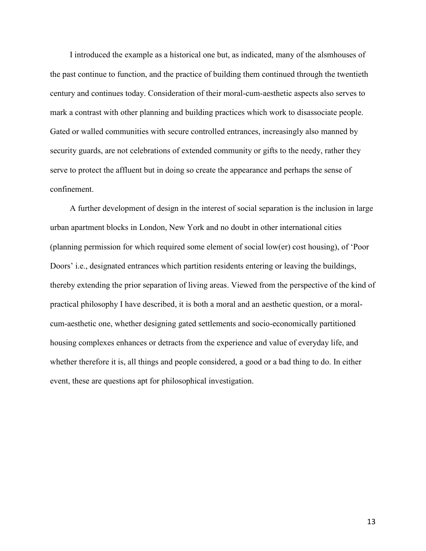I introduced the example as a historical one but, as indicated, many of the alsmhouses of the past continue to function, and the practice of building them continued through the twentieth century and continues today. Consideration of their moral-cum-aesthetic aspects also serves to mark a contrast with other planning and building practices which work to disassociate people. Gated or walled communities with secure controlled entrances, increasingly also manned by security guards, are not celebrations of extended community or gifts to the needy, rather they serve to protect the affluent but in doing so create the appearance and perhaps the sense of confinement.

A further development of design in the interest of social separation is the inclusion in large urban apartment blocks in London, New York and no doubt in other international cities (planning permission for which required some element of social low(er) cost housing), of 'Poor Doors' i.e., designated entrances which partition residents entering or leaving the buildings, thereby extending the prior separation of living areas. Viewed from the perspective of the kind of practical philosophy I have described, it is both a moral and an aesthetic question, or a moralcum-aesthetic one, whether designing gated settlements and socio-economically partitioned housing complexes enhances or detracts from the experience and value of everyday life, and whether therefore it is, all things and people considered, a good or a bad thing to do. In either event, these are questions apt for philosophical investigation.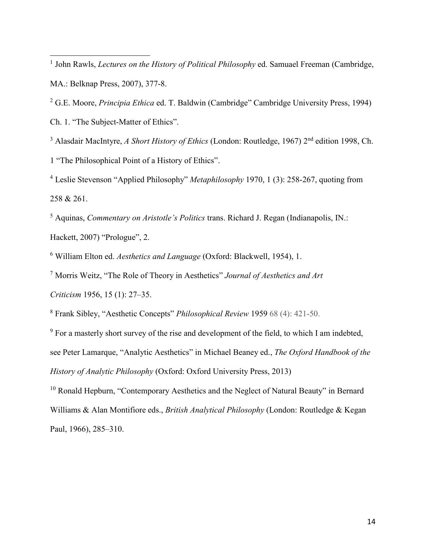<sup>1</sup> John Rawls, *Lectures on the History of Political Philosophy* ed. Samuael Freeman (Cambridge, MA.: Belknap Press, 2007), 377-8.

<sup>2</sup> G.E. Moore, *Principia Ethica* ed. T. Baldwin (Cambridge" Cambridge University Press, 1994) Ch. 1. "The Subject-Matter of Ethics".

<sup>3</sup> Alasdair MacIntyre, *A Short History of Ethics* (London: Routledge, 1967) 2<sup>nd</sup> edition 1998, Ch. 1 "The Philosophical Point of a History of Ethics".

<sup>4</sup> Leslie Stevenson "Applied Philosophy" *Metaphilosophy* 1970, 1 (3): 258-267, quoting from 258 & 261.

<sup>5</sup> Aquinas, *Commentary on Aristotle's Politics* trans. Richard J. Regan (Indianapolis, IN.: Hackett, 2007) "Prologue", 2.

<sup>6</sup> William Elton ed. *Aesthetics and Language* (Oxford: Blackwell, 1954), 1.

<sup>7</sup> Morris Weitz, "The Role of Theory in Aesthetics" *Journal of Aesthetics and Art* 

*Criticism* 1956, 15 (1): 27–35.

 $\overline{a}$ 

<sup>8</sup> Frank Sibley, "Aesthetic Concepts" *Philosophical Review* 1959 68 (4): 421-50.

<sup>9</sup> For a masterly short survey of the rise and development of the field, to which I am indebted, see Peter Lamarque, "Analytic Aesthetics" in Michael Beaney ed., *The Oxford Handbook of the History of Analytic Philosophy* (Oxford: Oxford University Press, 2013)

<sup>10</sup> Ronald Hepburn, "Contemporary Aesthetics and the Neglect of Natural Beauty" in Bernard Williams & Alan Montifiore eds., *British Analytical Philosophy* (London: Routledge & Kegan Paul, 1966), 285–310.